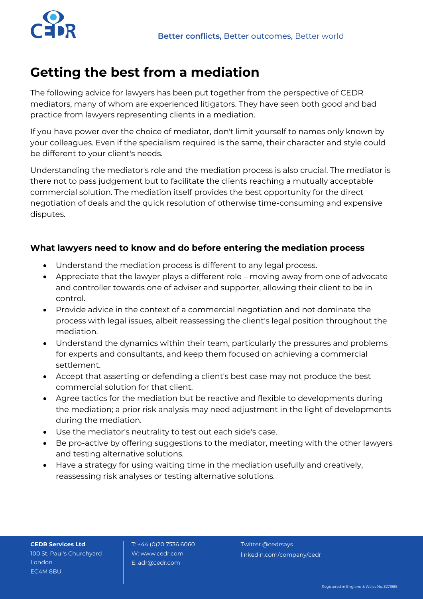

## **Getting the best from a mediation**

The following advice for lawyers has been put together from the perspective of CEDR mediators, many of whom are experienced litigators. They have seen both good and bad practice from lawyers representing clients in a mediation.

If you have power over the choice of mediator, don't limit yourself to names only known by your colleagues. Even if the specialism required is the same, their character and style could be different to your client's needs.

Understanding the mediator's role and the mediation process is also crucial. The mediator is there not to pass judgement but to facilitate the clients reaching a mutually acceptable commercial solution. The mediation itself provides the best opportunity for the direct negotiation of deals and the quick resolution of otherwise time-consuming and expensive disputes.

## **What lawyers need to know and do before entering the mediation process**

- Understand the mediation process is different to any legal process.
- Appreciate that the lawyer plays a different role moving away from one of advocate and controller towards one of adviser and supporter, allowing their client to be in control.
- Provide advice in the context of a commercial negotiation and not dominate the process with legal issues, albeit reassessing the client's legal position throughout the mediation.
- Understand the dynamics within their team, particularly the pressures and problems for experts and consultants, and keep them focused on achieving a commercial settlement.
- Accept that asserting or defending a client's best case may not produce the best commercial solution for that client.
- Agree tactics for the mediation but be reactive and flexible to developments during the mediation; a prior risk analysis may need adjustment in the light of developments during the mediation.
- Use the mediator's neutrality to test out each side's case.
- Be pro-active by offering suggestions to the mediator, meeting with the other lawyers and testing alternative solutions.
- Have a strategy for using waiting time in the mediation usefully and creatively, reassessing risk analyses or testing alternative solutions.

**CEDR Services Ltd** 100 St. Paul's Churchyard London EC4M 8BU

T: +44 (0)20 7536 6060 W: www.cedr.com E: adr@cedr.com

Twitter @cedrsays linkedin.com/company/cedr